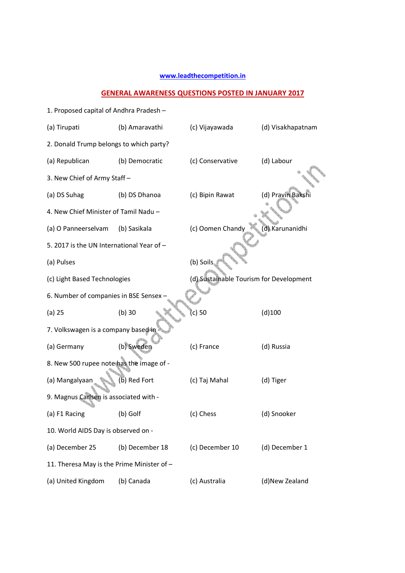## **www.leadthecompetition.in**

## **GENERAL AWARENESS QUESTIONS POSTED IN JANUARY 2017**

| 1. Proposed capital of Andhra Pradesh -    |                 |                                         |                   |  |  |  |  |
|--------------------------------------------|-----------------|-----------------------------------------|-------------------|--|--|--|--|
| (a) Tirupati                               | (b) Amaravathi  | (c) Vijayawada                          | (d) Visakhapatnam |  |  |  |  |
| 2. Donald Trump belongs to which party?    |                 |                                         |                   |  |  |  |  |
| (a) Republican                             | (b) Democratic  | (c) Conservative                        | (d) Labour        |  |  |  |  |
| 3. New Chief of Army Staff-                |                 |                                         |                   |  |  |  |  |
| (a) DS Suhag                               | (b) DS Dhanoa   | (c) Bipin Rawat                         | (d) Pravin Bakshi |  |  |  |  |
| 4. New Chief Minister of Tamil Nadu -      |                 |                                         |                   |  |  |  |  |
| (a) O Panneerselvam                        | (b) Sasikala    | (c) Oomen Chandy                        | (d) Karunanidhi   |  |  |  |  |
| 5. 2017 is the UN International Year of -  |                 |                                         |                   |  |  |  |  |
| (a) Pulses                                 |                 | (b) Soils                               |                   |  |  |  |  |
| (c) Light Based Technologies               |                 | (d) Sustainable Tourism for Development |                   |  |  |  |  |
| 6. Number of companies in BSE Sensex       |                 |                                         |                   |  |  |  |  |
| $(a)$ 25                                   | $(b)$ 30        | (c) 50                                  | (d)100            |  |  |  |  |
| 7. Volkswagen is a company based in        |                 |                                         |                   |  |  |  |  |
| (a) Germany                                | (b) Sweden      | (c) France                              | (d) Russia        |  |  |  |  |
| 8. New 500 rupee note has the image of -   |                 |                                         |                   |  |  |  |  |
| (a) Mangalyaan                             | b) Red Fort     | (c) Taj Mahal                           | (d) Tiger         |  |  |  |  |
| 9. Magnus Carlsen is associated with -     |                 |                                         |                   |  |  |  |  |
| (a) F1 Racing                              | (b) Golf        | (c) Chess                               | (d) Snooker       |  |  |  |  |
| 10. World AIDS Day is observed on -        |                 |                                         |                   |  |  |  |  |
| (a) December 25                            | (b) December 18 | (c) December 10                         | (d) December 1    |  |  |  |  |
| 11. Theresa May is the Prime Minister of - |                 |                                         |                   |  |  |  |  |
| (a) United Kingdom                         | (b) Canada      | (c) Australia                           | (d)New Zealand    |  |  |  |  |
|                                            |                 |                                         |                   |  |  |  |  |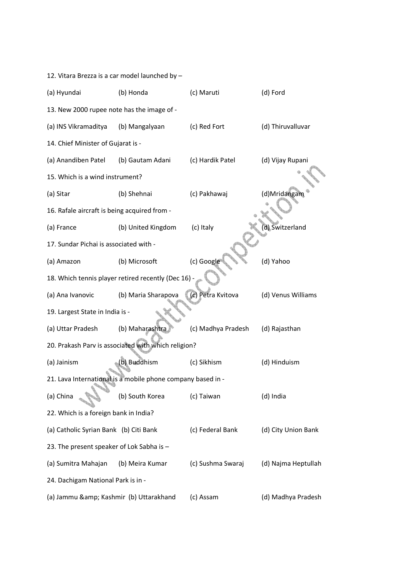| 12. Vitara Brezza is a car model launched by - |                                                             |                    |                     |  |  |  |  |
|------------------------------------------------|-------------------------------------------------------------|--------------------|---------------------|--|--|--|--|
| (a) Hyundai                                    | (b) Honda                                                   | (c) Maruti         | (d) Ford            |  |  |  |  |
| 13. New 2000 rupee note has the image of -     |                                                             |                    |                     |  |  |  |  |
| (a) INS Vikramaditya                           | (b) Mangalyaan                                              | (c) Red Fort       | (d) Thiruvalluvar   |  |  |  |  |
| 14. Chief Minister of Gujarat is -             |                                                             |                    |                     |  |  |  |  |
| (a) Anandiben Patel                            | (b) Gautam Adani                                            | (c) Hardik Patel   | (d) Vijay Rupani    |  |  |  |  |
| 15. Which is a wind instrument?                |                                                             |                    |                     |  |  |  |  |
| (a) Sitar                                      | (b) Shehnai                                                 | (c) Pakhawaj       | (d)Mridangam        |  |  |  |  |
| 16. Rafale aircraft is being acquired from -   |                                                             |                    |                     |  |  |  |  |
| (a) France                                     | (b) United Kingdom                                          | (c) Italy          | d) Switzerland      |  |  |  |  |
| 17. Sundar Pichai is associated with -         |                                                             |                    |                     |  |  |  |  |
| (a) Amazon                                     | (b) Microsoft                                               | (c) Google         | (d) Yahoo           |  |  |  |  |
|                                                | 18. Which tennis player retired recently (Dec 16) -         |                    |                     |  |  |  |  |
| (a) Ana Ivanovic                               | (b) Maria Sharapova                                         | (c) Petra Kvitova  | (d) Venus Williams  |  |  |  |  |
| 19. Largest State in India is -                |                                                             |                    |                     |  |  |  |  |
| (a) Uttar Pradesh                              | (b) Maharashtra                                             | (c) Madhya Pradesh | (d) Rajasthan       |  |  |  |  |
|                                                | 20. Prakash Parv is associated with which religion?         |                    |                     |  |  |  |  |
| (a) Jainism                                    | (b) Buddhism                                                | (c) Sikhism        | (d) Hinduism        |  |  |  |  |
|                                                | 21. Lava International is a mobile phone company based in - |                    |                     |  |  |  |  |
| (a) China                                      | (b) South Korea                                             | (c) Taiwan         | (d) India           |  |  |  |  |
| 22. Which is a foreign bank in India?          |                                                             |                    |                     |  |  |  |  |
| (a) Catholic Syrian Bank (b) Citi Bank         |                                                             | (c) Federal Bank   | (d) City Union Bank |  |  |  |  |
| 23. The present speaker of Lok Sabha is -      |                                                             |                    |                     |  |  |  |  |
| (a) Sumitra Mahajan                            | (b) Meira Kumar                                             | (c) Sushma Swaraj  | (d) Najma Heptullah |  |  |  |  |
| 24. Dachigam National Park is in -             |                                                             |                    |                     |  |  |  |  |
| (a) Jammu & Kashmir (b) Uttarakhand            |                                                             | (c) Assam          | (d) Madhya Pradesh  |  |  |  |  |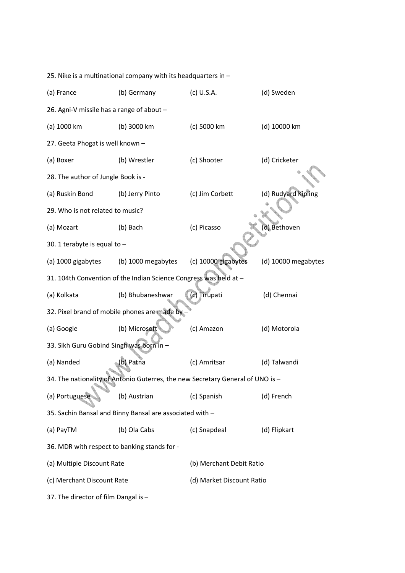25. Nike is a multinational company with its headquarters in – (a) France (b) Germany (c) U.S.A. (d) Sweden 26. Agni-V missile has a range of about – (a) 1000 km (b) 3000 km (c) 5000 km (d) 10000 km 27. Geeta Phogat is well known – (a) Boxer (b) Wrestler (c) Shooter (d) Cricketer 28. The author of Jungle Book is - (a) Ruskin Bond (b) Jerry Pinto (c) Jim Corbett (d) Rudyard Kipling 29. Who is not related to music? (a) Mozart (b) Bach (c) Picasso (d) Bethoven 30. 1 terabyte is equal to – (a) 1000 gigabytes (b) 1000 megabytes (c) 10000 gigabytes (d) 10000 megabytes 31. 104th Convention of the Indian Science Congress was held at – (a) Kolkata (b) Bhubaneshwar (c) Tirupati (d) Chennai 32. Pixel brand of mobile phones are made by – (a) Google (b) Microsoft (c) Amazon (d) Motorola 33. Sikh Guru Gobind Singh was born in – (a) Nanded (b) Patna (c) Amritsar (d) Talwandi 34. The nationality of Antonio Guterres, the new Secretary General of UNO is – (a) Portuguese (b) Austrian (c) Spanish (d) French 35. Sachin Bansal and Binny Bansal are associated with – (a) PayTM (b) Ola Cabs (c) Snapdeal (d) Flipkart 36. MDR with respect to banking stands for - (a) Multiple Discount Rate (b) Merchant Debit Ratio (c) Merchant Discount Rate (d) Market Discount Ratio 37. The director of film Dangal is –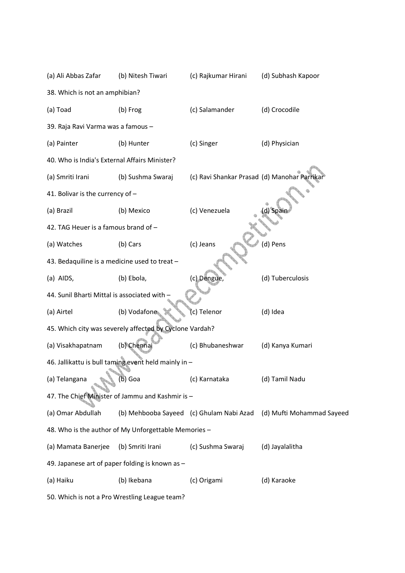| (a) Ali Abbas Zafar                                  | (b) Nitesh Tiwari                                       | (c) Rajkumar Hirani                          | (d) Subhash Kapoor                                                 |  |  |  |  |
|------------------------------------------------------|---------------------------------------------------------|----------------------------------------------|--------------------------------------------------------------------|--|--|--|--|
| 38. Which is not an amphibian?                       |                                                         |                                              |                                                                    |  |  |  |  |
| (a) Toad                                             | (b) Frog                                                | (c) Salamander                               | (d) Crocodile                                                      |  |  |  |  |
| 39. Raja Ravi Varma was a famous -                   |                                                         |                                              |                                                                    |  |  |  |  |
| (a) Painter                                          | (b) Hunter                                              | (c) Singer                                   | (d) Physician                                                      |  |  |  |  |
| 40. Who is India's External Affairs Minister?        |                                                         |                                              |                                                                    |  |  |  |  |
| (a) Smriti Irani                                     | (b) Sushma Swaraj                                       | (c) Ravi Shankar Prasad (d) Manohar Parrikar |                                                                    |  |  |  |  |
| 41. Bolivar is the currency of -                     |                                                         |                                              |                                                                    |  |  |  |  |
| (a) Brazil                                           | (b) Mexico                                              | (c) Venezuela                                | d) Spair                                                           |  |  |  |  |
| 42. TAG Heuer is a famous brand of -                 |                                                         |                                              |                                                                    |  |  |  |  |
| (a) Watches                                          | (b) Cars                                                | (c) Jeans                                    | (d) Pens                                                           |  |  |  |  |
| 43. Bedaquiline is a medicine used to treat -        |                                                         |                                              |                                                                    |  |  |  |  |
| (a) AIDS,                                            | (b) Ebola,                                              | (c) Dengue,                                  | (d) Tuberculosis                                                   |  |  |  |  |
| 44. Sunil Bharti Mittal is associated with -         |                                                         |                                              |                                                                    |  |  |  |  |
| (a) Airtel                                           | (b) Vodafone                                            | (c) Telenor                                  | (d) Idea                                                           |  |  |  |  |
|                                                      | 45. Which city was severely affected by Cyclone Vardah? |                                              |                                                                    |  |  |  |  |
| (a) Visakhapatnam                                    | (b) Chennai                                             | (c) Bhubaneshwar                             | (d) Kanya Kumari                                                   |  |  |  |  |
|                                                      | 46. Jallikattu is bull taming event held mainly in -    |                                              |                                                                    |  |  |  |  |
| (a) Telangana                                        | (b) Goa                                                 | (c) Karnataka                                | (d) Tamil Nadu                                                     |  |  |  |  |
|                                                      | 47. The Chief Minister of Jammu and Kashmir is -        |                                              |                                                                    |  |  |  |  |
| (a) Omar Abdullah                                    |                                                         |                                              | (b) Mehbooba Sayeed (c) Ghulam Nabi Azad (d) Mufti Mohammad Sayeed |  |  |  |  |
| 48. Who is the author of My Unforgettable Memories - |                                                         |                                              |                                                                    |  |  |  |  |
| (a) Mamata Banerjee                                  | (b) Smriti Irani                                        | (c) Sushma Swaraj                            | (d) Jayalalitha                                                    |  |  |  |  |
|                                                      | 49. Japanese art of paper folding is known as -         |                                              |                                                                    |  |  |  |  |
| (a) Haiku                                            | (b) Ikebana                                             | (c) Origami                                  | (d) Karaoke                                                        |  |  |  |  |
| 50. Which is not a Pro Wrestling League team?        |                                                         |                                              |                                                                    |  |  |  |  |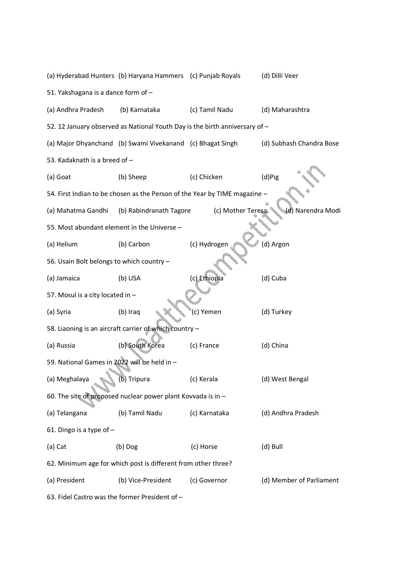(a) Hyderabad Hunters (b) Haryana Hammers (c) Punjab Royals (d) Dilli Veer 51. Yakshagana is a dance form of – (a) Andhra Pradesh (b) Karnataka (c) Tamil Nadu (d) Maharashtra 52. 12 January observed as National Youth Day is the birth anniversary of – (a) Major Dhyanchand (b) Swami Vivekanand (c) Bhagat Singh (d) Subhash Chandra Bose 53. Kadaknath is a breed of – (a) Goat (b) Sheep (c) Chicken (d)Pig 54. First Indian to be chosen as the Person of the Year by TIME magazine – (a) Mahatma Gandhi (b) Rabindranath Tagore (c) Mother Teresa (d) Narendra Modi 55. Most abundant element in the Universe – (a) Helium (b) Carbon (c) Hydrogen (d) Argon 56. Usain Bolt belongs to which country – (a) Jamaica (b) USA (c) Ethiopia (d) Cuba 57. Mosul is a city located in – (a) Syria (b) Iraq (c) Yemen (d) Turkey 58. Liaoning is an aircraft carrier of which country – (a) Russia (b) South Korea (c) France (d) China 59. National Games in 2022 will be held in – (a) Meghalaya (b) Tripura (c) Kerala (d) West Bengal 60. The site of proposed nuclear power plant Kovvada is in – (a) Telangana (b) Tamil Nadu (c) Karnataka (d) Andhra Pradesh 61. Dingo is a type of – (a) Cat (b) Dog (c) Horse (d) Bull 62. Minimum age for which post is different from other three? (a) President (b) Vice-President (c) Governor (d) Member of Parliament 63. Fidel Castro was the former President of –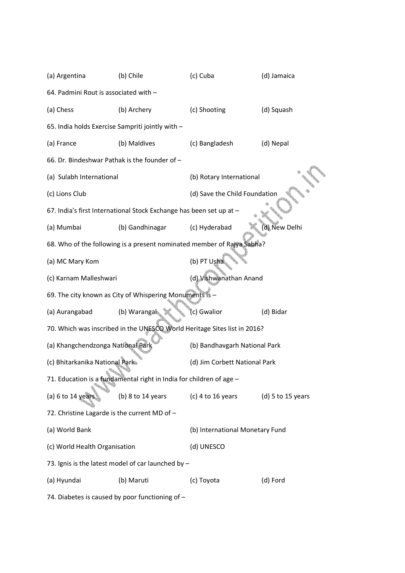| (a) Argentina                                    | (b) Chile                                                                | (c) Cuba                        | (d) Jamaica       |  |  |  |
|--------------------------------------------------|--------------------------------------------------------------------------|---------------------------------|-------------------|--|--|--|
| 64. Padmini Rout is associated with -            |                                                                          |                                 |                   |  |  |  |
| (a) Chess                                        | (b) Archery                                                              | (c) Shooting                    | (d) Squash        |  |  |  |
| 65. India holds Exercise Sampriti jointly with - |                                                                          |                                 |                   |  |  |  |
| (a) France                                       | (b) Maldives                                                             | (c) Bangladesh                  | (d) Nepal         |  |  |  |
| 66. Dr. Bindeshwar Pathak is the founder of -    |                                                                          |                                 |                   |  |  |  |
| (a) Sulabh International                         |                                                                          | (b) Rotary International        |                   |  |  |  |
| (c) Lions Club                                   |                                                                          | (d) Save the Child Foundation   |                   |  |  |  |
|                                                  | 67. India's first International Stock Exchange has been set up at -      |                                 |                   |  |  |  |
| (a) Mumbai                                       | (b) Gandhinagar                                                          | (c) Hyderabad                   | (d) New Delhi     |  |  |  |
|                                                  | 68. Who of the following is a present nominated member of Rajya Sabha?   |                                 |                   |  |  |  |
| (a) MC Mary Kom                                  |                                                                          | (b) PT Usha                     |                   |  |  |  |
| (c) Karnam Malleshwari                           |                                                                          | (d) Vishwanathan Anand          |                   |  |  |  |
|                                                  | 69. The city known as City of Whispering Monuments is -                  |                                 |                   |  |  |  |
| (a) Aurangabad                                   | (b) Warangal                                                             | c) Gwalior                      | (d) Bidar         |  |  |  |
|                                                  | 70. Which was inscribed in the UNESCO World Heritage Sites list in 2016? |                                 |                   |  |  |  |
| (a) Khangchendzonga National Park                |                                                                          | (b) Bandhavgarh National Park   |                   |  |  |  |
| (c) Bhitarkanika National Park                   |                                                                          | (d) Jim Corbett National Park   |                   |  |  |  |
|                                                  | 71. Education is a fundamental right in India for children of age -      |                                 |                   |  |  |  |
| (a) $6$ to 14 years                              | (b) 8 to 14 years                                                        | (c) 4 to 16 years               | (d) 5 to 15 years |  |  |  |
| 72. Christine Lagarde is the current MD of -     |                                                                          |                                 |                   |  |  |  |
| (a) World Bank                                   |                                                                          | (b) International Monetary Fund |                   |  |  |  |
| (c) World Health Organisation                    |                                                                          | (d) UNESCO                      |                   |  |  |  |
|                                                  | 73. Ignis is the latest model of car launched by -                       |                                 |                   |  |  |  |
| (a) Hyundai                                      | (b) Maruti                                                               | (c) Toyota                      | (d) Ford          |  |  |  |
|                                                  |                                                                          |                                 |                   |  |  |  |

74. Diabetes is caused by poor functioning of –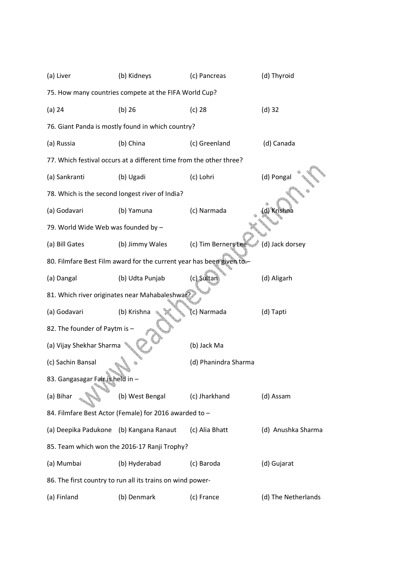| (a) Liver                                             | (b) Kidneys                                                           | (c) Pancreas         | (d) Thyroid         |  |  |  |  |  |
|-------------------------------------------------------|-----------------------------------------------------------------------|----------------------|---------------------|--|--|--|--|--|
| 75. How many countries compete at the FIFA World Cup? |                                                                       |                      |                     |  |  |  |  |  |
| $(a)$ 24                                              | $(b)$ 26                                                              | $(c)$ 28             | $(d)$ 32            |  |  |  |  |  |
|                                                       | 76. Giant Panda is mostly found in which country?                     |                      |                     |  |  |  |  |  |
| (a) Russia                                            | (b) China                                                             | (c) Greenland        | (d) Canada          |  |  |  |  |  |
|                                                       | 77. Which festival occurs at a different time from the other three?   |                      |                     |  |  |  |  |  |
| (a) Sankranti                                         | (b) Ugadi                                                             | (c) Lohri            | (d) Pongal          |  |  |  |  |  |
|                                                       | 78. Which is the second longest river of India?                       |                      |                     |  |  |  |  |  |
| (a) Godavari                                          | (b) Yamuna                                                            | (c) Narmada          | d) Krishna          |  |  |  |  |  |
| 79. World Wide Web was founded by -                   |                                                                       |                      |                     |  |  |  |  |  |
| (a) Bill Gates                                        | (b) Jimmy Wales                                                       | (c) Tim Berners Lee  | (d) Jack dorsey     |  |  |  |  |  |
|                                                       | 80. Filmfare Best Film award for the current year has been given to - |                      |                     |  |  |  |  |  |
| (a) Dangal                                            | (b) Udta Punjab                                                       | (c) Sultan           | (d) Aligarh         |  |  |  |  |  |
|                                                       | 81. Which river originates near Mahabaleshwar?                        |                      |                     |  |  |  |  |  |
| (a) Godavari                                          | (b) Krishna                                                           | (c) Narmada          | (d) Tapti           |  |  |  |  |  |
| 82. The founder of Paytm is -                         |                                                                       |                      |                     |  |  |  |  |  |
| (a) Vijay Shekhar Sharma                              |                                                                       | (b) Jack Ma          |                     |  |  |  |  |  |
| (c) Sachin Bansal                                     |                                                                       | (d) Phanindra Sharma |                     |  |  |  |  |  |
| 83. Gangasagar Fair is held in -                      |                                                                       |                      |                     |  |  |  |  |  |
| (a) Bihar                                             | (b) West Bengal                                                       | (c) Jharkhand        | (d) Assam           |  |  |  |  |  |
|                                                       | 84. Filmfare Best Actor (Female) for 2016 awarded to -                |                      |                     |  |  |  |  |  |
| (a) Deepika Padukone (b) Kangana Ranaut               |                                                                       | (c) Alia Bhatt       | (d) Anushka Sharma  |  |  |  |  |  |
| 85. Team which won the 2016-17 Ranji Trophy?          |                                                                       |                      |                     |  |  |  |  |  |
| (a) Mumbai                                            | (b) Hyderabad                                                         | (c) Baroda           | (d) Gujarat         |  |  |  |  |  |
|                                                       | 86. The first country to run all its trains on wind power-            |                      |                     |  |  |  |  |  |
| (a) Finland                                           | (b) Denmark                                                           | (c) France           | (d) The Netherlands |  |  |  |  |  |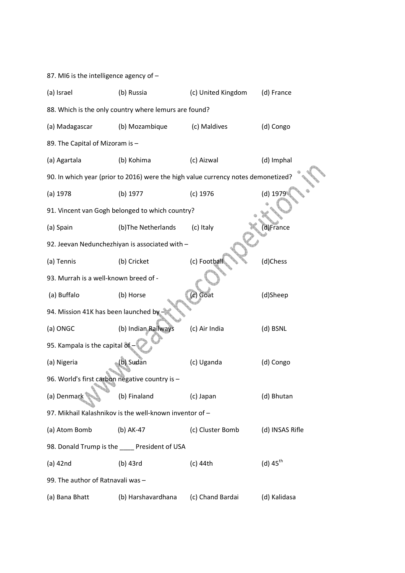| 87. MI6 is the intelligence agency of -                 |                                                                                   |                    |                        |  |  |  |  |  |
|---------------------------------------------------------|-----------------------------------------------------------------------------------|--------------------|------------------------|--|--|--|--|--|
| (a) Israel                                              | (b) Russia                                                                        | (c) United Kingdom | (d) France             |  |  |  |  |  |
|                                                         | 88. Which is the only country where lemurs are found?                             |                    |                        |  |  |  |  |  |
| (a) Madagascar                                          | (b) Mozambique                                                                    | (c) Maldives       | (d) Congo              |  |  |  |  |  |
| 89. The Capital of Mizoram is -                         |                                                                                   |                    |                        |  |  |  |  |  |
| (a) Agartala                                            | (b) Kohima                                                                        | (c) Aizwal         | (d) Imphal             |  |  |  |  |  |
|                                                         | 90. In which year (prior to 2016) were the high value currency notes demonetized? |                    |                        |  |  |  |  |  |
| $(a)$ 1978                                              | (b) 1977                                                                          | $(c)$ 1976         | (d) 1979               |  |  |  |  |  |
|                                                         | 91. Vincent van Gogh belonged to which country?                                   |                    |                        |  |  |  |  |  |
| (a) Spain                                               | (b)The Netherlands                                                                | (c) Italy          | d)France               |  |  |  |  |  |
|                                                         | 92. Jeevan Nedunchezhiyan is associated with -                                    |                    |                        |  |  |  |  |  |
| (a) Tennis                                              | (b) Cricket                                                                       | (c) Football       | (d)Chess               |  |  |  |  |  |
| 93. Murrah is a well-known breed of -                   |                                                                                   |                    |                        |  |  |  |  |  |
| (a) Buffalo                                             | (b) Horse                                                                         | (c) Goat           | (d)Sheep               |  |  |  |  |  |
| 94. Mission 41K has been launched by                    |                                                                                   |                    |                        |  |  |  |  |  |
| (a) ONGC                                                | (b) Indian Railways                                                               | (c) Air India      | (d) BSNL               |  |  |  |  |  |
| 95. Kampala is the capital of                           |                                                                                   |                    |                        |  |  |  |  |  |
| (a) Nigeria                                             | (b) Sudan                                                                         | (c) Uganda         | (d) Congo              |  |  |  |  |  |
| 96. World's first carbon negative country is -          |                                                                                   |                    |                        |  |  |  |  |  |
| (a) Denmark                                             | (b) Finaland                                                                      | (c) Japan          | (d) Bhutan             |  |  |  |  |  |
| 97. Mikhail Kalashnikov is the well-known inventor of - |                                                                                   |                    |                        |  |  |  |  |  |
| (a) Atom Bomb                                           | (b) AK-47                                                                         | (c) Cluster Bomb   | (d) INSAS Rifle        |  |  |  |  |  |
| 98. Donald Trump is the ____ President of USA           |                                                                                   |                    |                        |  |  |  |  |  |
| (a) 42nd                                                | (b) 43rd                                                                          | $(c)$ 44th         | $(d)$ 45 <sup>th</sup> |  |  |  |  |  |
| 99. The author of Ratnavali was -                       |                                                                                   |                    |                        |  |  |  |  |  |
| (a) Bana Bhatt                                          | (b) Harshavardhana                                                                | (c) Chand Bardai   | (d) Kalidasa           |  |  |  |  |  |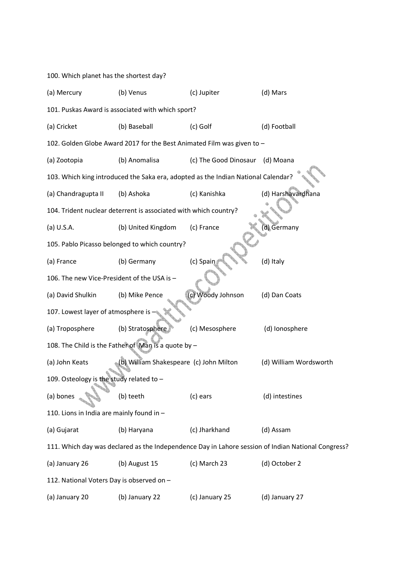|                                                                                                    | 100. Which planet has the shortest day?                          |                                                                                   |                        |  |  |  |  |
|----------------------------------------------------------------------------------------------------|------------------------------------------------------------------|-----------------------------------------------------------------------------------|------------------------|--|--|--|--|
| (a) Mercury                                                                                        | (b) Venus                                                        | (c) Jupiter                                                                       | (d) Mars               |  |  |  |  |
|                                                                                                    | 101. Puskas Award is associated with which sport?                |                                                                                   |                        |  |  |  |  |
| (a) Cricket                                                                                        | (b) Baseball                                                     | (c) Golf                                                                          | (d) Football           |  |  |  |  |
|                                                                                                    |                                                                  | 102. Golden Globe Award 2017 for the Best Animated Film was given to -            |                        |  |  |  |  |
| (a) Zootopia                                                                                       | (b) Anomalisa                                                    | (c) The Good Dinosaur                                                             | (d) Moana              |  |  |  |  |
|                                                                                                    |                                                                  | 103. Which king introduced the Saka era, adopted as the Indian National Calendar? |                        |  |  |  |  |
| (a) Chandragupta II                                                                                | (b) Ashoka                                                       | (c) Kanishka                                                                      | (d) Harshavardhana     |  |  |  |  |
|                                                                                                    | 104. Trident nuclear deterrent is associated with which country? |                                                                                   |                        |  |  |  |  |
| (a) U.S.A.                                                                                         | (b) United Kingdom                                               | (c) France                                                                        | d) Germany             |  |  |  |  |
| 105. Pablo Picasso belonged to which country?                                                      |                                                                  |                                                                                   |                        |  |  |  |  |
| (a) France                                                                                         | (b) Germany                                                      | (c) Spair                                                                         | (d) Italy              |  |  |  |  |
| 106. The new Vice-President of the USA is -                                                        |                                                                  |                                                                                   |                        |  |  |  |  |
| (a) David Shulkin                                                                                  | (b) Mike Pence                                                   | (c) Woody Johnson                                                                 | (d) Dan Coats          |  |  |  |  |
| 107. Lowest layer of atmosphere is                                                                 |                                                                  |                                                                                   |                        |  |  |  |  |
| (a) Troposphere                                                                                    | (b) Stratosphere                                                 | (c) Mesosphere                                                                    | (d) Ionosphere         |  |  |  |  |
|                                                                                                    | 108. The Child is the Father of Man is a quote by -              |                                                                                   |                        |  |  |  |  |
| (a) John Keats                                                                                     | (b) William Shakespeare (c) John Milton                          |                                                                                   | (d) William Wordsworth |  |  |  |  |
| 109. Osteology is the study related to -                                                           |                                                                  |                                                                                   |                        |  |  |  |  |
| (a) bones                                                                                          | (b) teeth                                                        | (c) ears                                                                          | (d) intestines         |  |  |  |  |
| 110. Lions in India are mainly found in -                                                          |                                                                  |                                                                                   |                        |  |  |  |  |
| (a) Gujarat                                                                                        | (b) Haryana                                                      | (c) Jharkhand                                                                     | (d) Assam              |  |  |  |  |
| 111. Which day was declared as the Independence Day in Lahore session of Indian National Congress? |                                                                  |                                                                                   |                        |  |  |  |  |
| (a) January 26                                                                                     | (b) August 15                                                    | (c) March 23                                                                      | (d) October 2          |  |  |  |  |
| 112. National Voters Day is observed on -                                                          |                                                                  |                                                                                   |                        |  |  |  |  |
| (a) January 20                                                                                     | (b) January 22                                                   | (c) January 25                                                                    | (d) January 27         |  |  |  |  |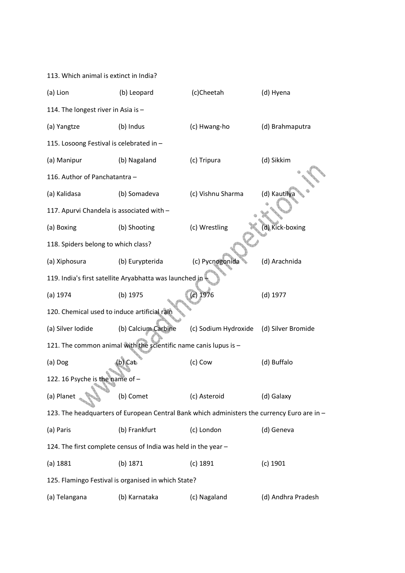| 113. Which animal is extinct in India?       |                                                                                             |                      |                    |
|----------------------------------------------|---------------------------------------------------------------------------------------------|----------------------|--------------------|
| (a) Lion                                     | (b) Leopard                                                                                 | (d) Hyena            |                    |
| 114. The longest river in Asia is -          |                                                                                             |                      |                    |
| (a) Yangtze                                  | (b) Indus                                                                                   | (c) Hwang-ho         | (d) Brahmaputra    |
| 115. Losoong Festival is celebrated in -     |                                                                                             |                      |                    |
| (a) Manipur                                  | (b) Nagaland                                                                                | (c) Tripura          | (d) Sikkim         |
| 116. Author of Panchatantra -                |                                                                                             |                      |                    |
| (a) Kalidasa                                 | (b) Somadeva                                                                                | (c) Vishnu Sharma    | (d) Kautilya       |
| 117. Apurvi Chandela is associated with -    |                                                                                             |                      |                    |
| (a) Boxing                                   | (b) Shooting                                                                                | (c) Wrestling        | (d) Kick-boxing    |
| 118. Spiders belong to which class?          |                                                                                             |                      |                    |
| (a) Xiphosura                                | (b) Eurypterida                                                                             | (c) Pycnogonida      | (d) Arachnida      |
|                                              | 119. India's first satellite Aryabhatta was launched in                                     |                      |                    |
| (a) 1974                                     | (b) 1975                                                                                    | $(c)$ 1976           | $(d)$ 1977         |
| 120. Chemical used to induce artificial rain |                                                                                             |                      |                    |
| (a) Silver Iodide                            | (b) Calcium Carbine                                                                         | (c) Sodium Hydroxide | (d) Silver Bromide |
|                                              | 121. The common animal with the scientific name canis lupus is -                            |                      |                    |
| (a) Dog                                      | (b) Cat                                                                                     | (c) Cow              | (d) Buffalo        |
| 122. 16 Psyche is the name of -              |                                                                                             |                      |                    |
| (a) Planet                                   | (b) Comet                                                                                   | (c) Asteroid         | (d) Galaxy         |
|                                              | 123. The headquarters of European Central Bank which administers the currency Euro are in - |                      |                    |
| (a) Paris                                    | (b) Frankfurt                                                                               | (c) London           | (d) Geneva         |
|                                              | 124. The first complete census of India was held in the year -                              |                      |                    |
| (a) 1881                                     | (b) 1871                                                                                    | $(c)$ 1891           | $(c)$ 1901         |
|                                              | 125. Flamingo Festival is organised in which State?                                         |                      |                    |
| (a) Telangana                                | (b) Karnataka                                                                               | (c) Nagaland         | (d) Andhra Pradesh |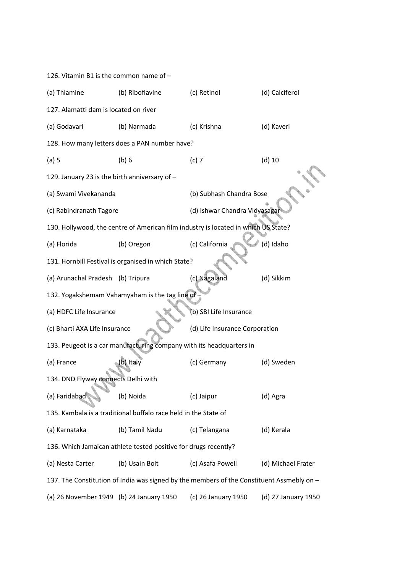| 126. Vitamin B1 is the common name of -                                                   |                                                                                    |                                |                     |  |  |  |
|-------------------------------------------------------------------------------------------|------------------------------------------------------------------------------------|--------------------------------|---------------------|--|--|--|
| (a) Thiamine                                                                              | (b) Riboflavine                                                                    | (c) Retinol                    | (d) Calciferol      |  |  |  |
| 127. Alamatti dam is located on river                                                     |                                                                                    |                                |                     |  |  |  |
| (a) Godavari                                                                              | (b) Narmada                                                                        | (c) Krishna                    | (d) Kaveri          |  |  |  |
|                                                                                           | 128. How many letters does a PAN number have?                                      |                                |                     |  |  |  |
| $(a)$ 5                                                                                   | (b) 6                                                                              | $(c)$ 7                        | $(d)$ 10            |  |  |  |
| 129. January 23 is the birth anniversary of -                                             |                                                                                    |                                |                     |  |  |  |
| (a) Swami Vivekananda                                                                     |                                                                                    | (b) Subhash Chandra Bose       |                     |  |  |  |
| (c) Rabindranath Tagore                                                                   |                                                                                    | (d) Ishwar Chandra Vidyasagar  |                     |  |  |  |
|                                                                                           | 130. Hollywood, the centre of American film industry is located in which US State? |                                |                     |  |  |  |
| (a) Florida                                                                               | (b) Oregon                                                                         | (c) California                 | (d) Idaho           |  |  |  |
|                                                                                           | 131. Hornbill Festival is organised in which State?                                |                                |                     |  |  |  |
| (a) Arunachal Pradesh (b) Tripura                                                         |                                                                                    | (c) Nagaland                   | (d) Sikkim          |  |  |  |
|                                                                                           | 132. Yogakshemam Vahamyaham is the tag line of.                                    |                                |                     |  |  |  |
| (a) HDFC Life Insurance                                                                   |                                                                                    | (b) SBI Life Insurance         |                     |  |  |  |
| (c) Bharti AXA Life Insurance                                                             |                                                                                    | (d) Life Insurance Corporation |                     |  |  |  |
|                                                                                           | 133. Peugeot is a car manufacturing company with its headquarters in               |                                |                     |  |  |  |
| (a) France                                                                                | (b) Italy                                                                          | (c) Germany                    | (d) Sweden          |  |  |  |
| 134. DND Flyway connects Delhi with                                                       |                                                                                    |                                |                     |  |  |  |
| (a) Faridabad                                                                             | (b) Noida                                                                          | (c) Jaipur                     | (d) Agra            |  |  |  |
|                                                                                           | 135. Kambala is a traditional buffalo race held in the State of                    |                                |                     |  |  |  |
| (a) Karnataka                                                                             | (b) Tamil Nadu                                                                     | (c) Telangana                  | (d) Kerala          |  |  |  |
| 136. Which Jamaican athlete tested positive for drugs recently?                           |                                                                                    |                                |                     |  |  |  |
| (a) Nesta Carter                                                                          | (b) Usain Bolt                                                                     | (c) Asafa Powell               | (d) Michael Frater  |  |  |  |
| 137. The Constitution of India was signed by the members of the Constituent Assmebly on - |                                                                                    |                                |                     |  |  |  |
| (a) 26 November 1949 (b) 24 January 1950                                                  |                                                                                    | (c) 26 January 1950            | (d) 27 January 1950 |  |  |  |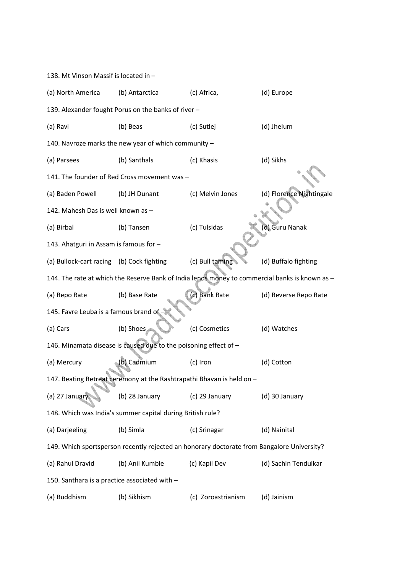138. Mt Vinson Massif is located in – (a) North America (b) Antarctica (c) Africa, (d) Europe 139. Alexander fought Porus on the banks of river – (a) Ravi (b) Beas (c) Sutlej (d) Jhelum 140. Navroze marks the new year of which community – (a) Parsees (b) Santhals (c) Khasis (d) Sikhs 141. The founder of Red Cross movement was – (a) Baden Powell (b) JH Dunant (c) Melvin Jones (d) Florence Nightingale 142. Mahesh Das is well known as – (a) Birbal (b) Tansen (c) Tulsidas (d) Guru Nanak 143. Ahatguri in Assam is famous for – (a) Bullock-cart racing (b) Cock fighting (c) Bull taming (d) Buffalo fighting 144. The rate at which the Reserve Bank of India lends money to commercial banks is known as – (a) Repo Rate (b) Base Rate (c) Bank Rate (d) Reverse Repo Rate 145. Favre Leuba is a famous brand of (a) Cars (b) Shoes (c) Cosmetics (d) Watches 146. Minamata disease is caused due to the poisoning effect of – (a) Mercury (b) Cadmium (c) Iron (d) Cotton 147. Beating Retreat ceremony at the Rashtrapathi Bhavan is held on – (a) 27 January (b) 28 January (c) 29 January (d) 30 January 148. Which was India's summer capital during British rule? (a) Darjeeling (b) Simla (c) Srinagar (d) Nainital 149. Which sportsperson recently rejected an honorary doctorate from Bangalore University? (a) Rahul Dravid (b) Anil Kumble (c) Kapil Dev (d) Sachin Tendulkar 150. Santhara is a practice associated with – (a) Buddhism (b) Sikhism (c) Zoroastrianism (d) Jainism